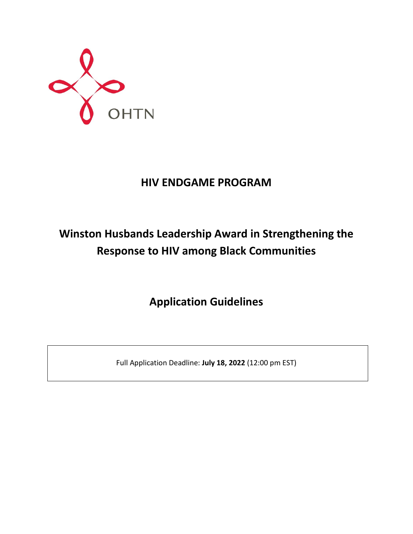

# **HIV ENDGAME PROGRAM**

# **Winston Husbands Leadership Award in Strengthening the Response to HIV among Black Communities**

**Application Guidelines**

Full Application Deadline: **July 18, 2022** (12:00 pm EST)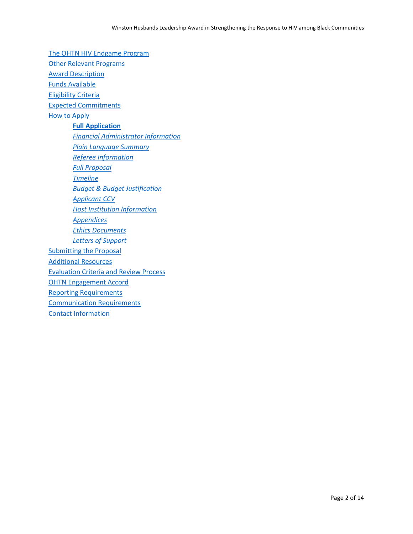[The OHTN HIV Endgame Program](#page-2-0) [Other Relevant Programs](#page-3-0) [Award Description](#page-3-0) Funds [Available](#page-4-0) [Eligibility Criteria](#page-4-1) [Expected Commitments](#page-5-0) [How to Apply](#page-5-0) **[Full Application](#page-5-1)** *[Financial Administrator Information](#page-6-0) [Plain Language Summary](#page-6-1) [Referee Information](#page-6-2) [Full Proposal](#page-6-3) [Timeline](#page-7-0) [Budget & Budget Justification](#page-7-1) [Applicant](#page-8-0) CCV [Host Institution Information](#page-8-1) [Appendices](#page-8-2) [Ethics Documents](#page-9-0) [Letters of Support](#page-9-1)* [Submitting the Proposal](#page-9-2) [Additional Resources](#page-9-3) [Evaluation Criteria and Review Process](#page-11-0) [OHTN Engagement Accord](#page-12-0) [Reporting Requirements](#page-12-1) [Communication Requirements](#page-13-0) [Contact Information](#page-13-1)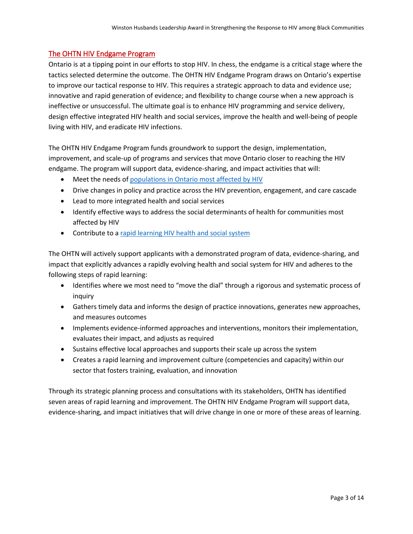### <span id="page-2-0"></span>The OHTN HIV Endgame Program

Ontario is at a tipping point in our efforts to stop HIV. In chess, the endgame is a critical stage where the tactics selected determine the outcome. The OHTN HIV Endgame Program draws on Ontario's expertise to improve our tactical response to HIV. This requires a strategic approach to data and evidence use; innovative and rapid generation of evidence; and flexibility to change course when a new approach is ineffective or unsuccessful. The ultimate goal is to enhance HIV programming and service delivery, design effective integrated HIV health and social services, improve the health and well-being of people living with HIV, and eradicate HIV infections.

The OHTN HIV Endgame Program funds groundwork to support the design, implementation, improvement, and scale-up of programs and services that move Ontario closer to reaching the HIV endgame. The program will support data, evidence-sharing, and impact activities that will:

- Meet the needs of [populations in Ontario most affected by HIV](https://www.ohtn.on.ca/research-portals/priority-populations/)
- Drive changes in policy and practice across the HIV prevention, engagement, and care cascade
- Lead to more integrated health and social services
- Identify effective ways to address the social determinants of health for communities most affected by HIV
- Contribute to [a rapid learning HIV health and social system](#page-3-1)

The OHTN will actively support applicants with a demonstrated program of data, evidence-sharing, and impact that explicitly advances a rapidly evolving health and social system for HIV and adheres to the following steps of rapid learning:

- Identifies where we most need to "move the dial" through a rigorous and systematic process of inquiry
- Gathers timely data and informs the design of practice innovations, generates new approaches, and measures outcomes
- Implements evidence-informed approaches and interventions, monitors their implementation, evaluates their impact, and adjusts as required
- Sustains effective local approaches and supports their scale up across the system
- Creates a rapid learning and improvement culture (competencies and capacity) within our sector that fosters training, evaluation, and innovation

Through its strategic planning process and consultations with its stakeholders, OHTN has identified seven areas of rapid learning and improvement. The OHTN HIV Endgame Program will support data, evidence-sharing, and impact initiatives that will drive change in one or more of these areas of learning.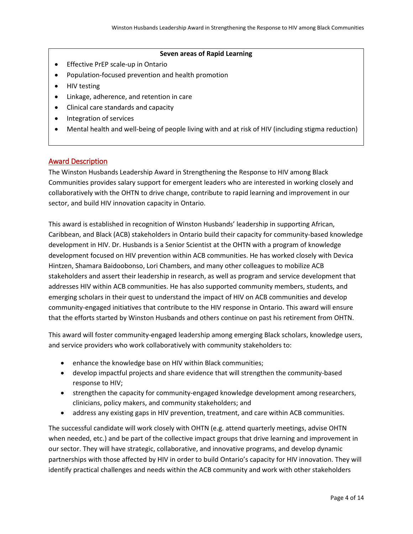#### **Seven areas of Rapid Learning**

- <span id="page-3-1"></span>• Effective PrEP scale-up in Ontario
- Population-focused prevention and health promotion
- HIV testing
- Linkage, adherence, and retention in care
- Clinical care standards and capacity
- Integration of services
- Mental health and well-being of people living with and at risk of HIV (including stigma reduction)

# <span id="page-3-0"></span>Award Description

The Winston Husbands Leadership Award in Strengthening the Response to HIV among Black Communities provides salary support for emergent leaders who are interested in working closely and collaboratively with the OHTN to drive change, contribute to rapid learning and improvement in our sector, and build HIV innovation capacity in Ontario.

This award is established in recognition of Winston Husbands' leadership in supporting African, Caribbean, and Black (ACB) stakeholders in Ontario build their capacity for community-based knowledge development in HIV. Dr. Husbands is a Senior Scientist at the OHTN with a program of knowledge development focused on HIV prevention within ACB communities. He has worked closely with Devica Hintzen, Shamara Baidoobonso, Lori Chambers, and many other colleagues to mobilize ACB stakeholders and assert their leadership in research, as well as program and service development that addresses HIV within ACB communities. He has also supported community members, students, and emerging scholars in their quest to understand the impact of HIV on ACB communities and develop community-engaged initiatives that contribute to the HIV response in Ontario. This award will ensure that the efforts started by Winston Husbands and others continue on past his retirement from OHTN.

This award will foster community-engaged leadership among emerging Black scholars, knowledge users, and service providers who work collaboratively with community stakeholders to:

- enhance the knowledge base on HIV within Black communities;
- develop impactful projects and share evidence that will strengthen the community-based response to HIV;
- strengthen the capacity for community-engaged knowledge development among researchers, clinicians, policy makers, and community stakeholders; and
- address any existing gaps in HIV prevention, treatment, and care within ACB communities.

The successful candidate will work closely with OHTN (e.g. attend quarterly meetings, advise OHTN when needed, etc.) and be part of the collective impact groups that drive learning and improvement in our sector. They will have strategic, collaborative, and innovative programs, and develop dynamic partnerships with those affected by HIV in order to build Ontario's capacity for HIV innovation. They will identify practical challenges and needs within the ACB community and work with other stakeholders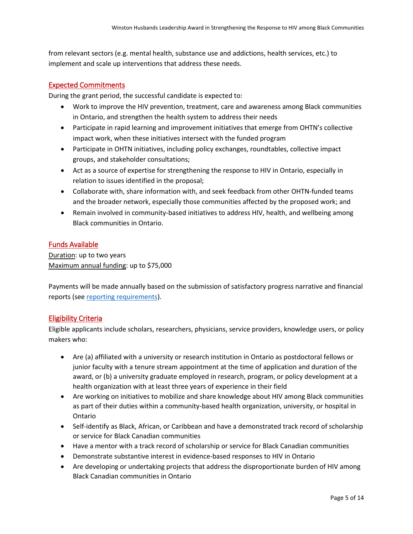from relevant sectors (e.g. mental health, substance use and addictions, health services, etc.) to implement and scale up interventions that address these needs.

# Expected Commitments

During the grant period, the successful candidate is expected to:

- Work to improve the HIV prevention, treatment, care and awareness among Black communities in Ontario, and strengthen the health system to address their needs
- Participate in rapid learning and improvement initiatives that emerge from OHTN's collective impact work, when these initiatives intersect with the funded program
- Participate in OHTN initiatives, including policy exchanges, roundtables, collective impact groups, and stakeholder consultations;
- Act as a source of expertise for strengthening the response to HIV in Ontario, especially in relation to issues identified in the proposal;
- Collaborate with, share information with, and seek feedback from other OHTN-funded teams and the broader network, especially those communities affected by the proposed work; and
- Remain involved in community-based initiatives to address HIV, health, and wellbeing among Black communities in Ontario.

### <span id="page-4-0"></span>Funds Available

Duration: up to two years Maximum annual funding: up to \$75,000

Payments will be made annually based on the submission of satisfactory progress narrative and financial reports (see [reporting requirements\)](#page-12-1).

# <span id="page-4-1"></span>Eligibility Criteria

Eligible applicants include scholars, researchers, physicians, service providers, knowledge users, or policy makers who:

- Are (a) affiliated with a university or research institution in Ontario as postdoctoral fellows or junior faculty with a tenure stream appointment at the time of application and duration of the award, or (b) a university graduate employed in research, program, or policy development at a health organization with at least three years of experience in their field
- Are working on initiatives to mobilize and share knowledge about HIV among Black communities as part of their duties within a community-based health organization, university, or hospital in Ontario
- Self-identify as Black, African, or Caribbean and have a demonstrated track record of scholarship or service for Black Canadian communities
- Have a mentor with a track record of scholarship or service for Black Canadian communities
- Demonstrate substantive interest in evidence-based responses to HIV in Ontario
- Are developing or undertaking projects that address the disproportionate burden of HIV among Black Canadian communities in Ontario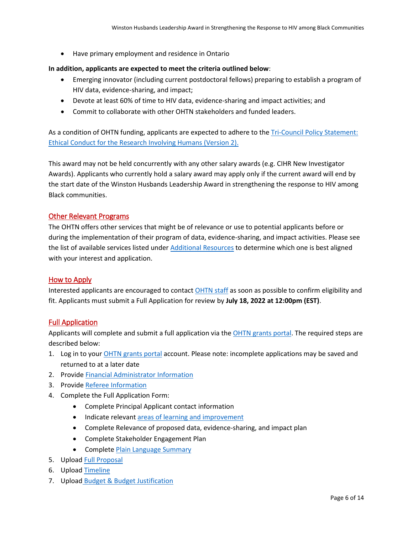• Have primary employment and residence in Ontario

#### **In addition, applicants are expected to meet the criteria outlined below**:

- Emerging innovator (including current postdoctoral fellows) preparing to establish a program of HIV data, evidence-sharing, and impact;
- Devote at least 60% of time to HIV data, evidence-sharing and impact activities; and
- Commit to collaborate with other OHTN stakeholders and funded leaders.

As a condition of OHTN funding, applicants are expected to adhere to the **Tri-Council Policy Statement:** [Ethical Conduct for the Research Involving Humans \(Version 2\).](http://www.pre.ethics.gc.ca/eng/policy-politique_tcps2-eptc2_2018.html)

This award may not be held concurrently with any other salary awards (e.g. CIHR New Investigator Awards). Applicants who currently hold a salary award may apply only if the current award will end by the start date of the Winston Husbands Leadership Award in strengthening the response to HIV among Black communities.

### Other Relevant Programs

The OHTN offers other services that might be of relevance or use to potential applicants before or during the implementation of their program of data, evidence-sharing, and impact activities. Please see the list of available services listed unde[r Additional Resources](#page-9-3) to determine which one is best aligned with your interest and application.

#### <span id="page-5-0"></span>How to Apply

Interested applicants are encouraged to contact [OHTN staff](mailto:funding@ohtn.on.ca) as soon as possible to confirm eligibility and fit. Applicants must submit a Full Application for review by **July 18, 2022 at 12:00pm (EST)**.

# <span id="page-5-1"></span>Full Application

Applicants will complete and submit a full application via th[e OHTN grants portal.](https://apply-ohtn-on.smapply.io/) The required steps are described below:

- 1. Log in to you[r OHTN grants portal](https://apply-ohtn-on.smapply.io/) account. Please note: incomplete applications may be saved and returned to at a later date
- 2. Provid[e Financial Administrator Information](#page-6-0)
- 3. Provid[e Referee Information](#page-6-2)
- 4. Complete the Full Application Form:
	- Complete Principal Applicant contact information
	- Indicate relevant [areas of learning and improvement](#page-3-1)
	- Complete Relevance of proposed data, evidence-sharing, and impact plan
	- Complete Stakeholder Engagement Plan
	- Complete [Plain Language Summary](#page-6-4)
- 5. Uploa[d Full Proposal](#page-6-3)
- 6. Uploa[d Timeline](#page-7-0)
- 7. Upload [Budget & Budget Justification](#page-7-1)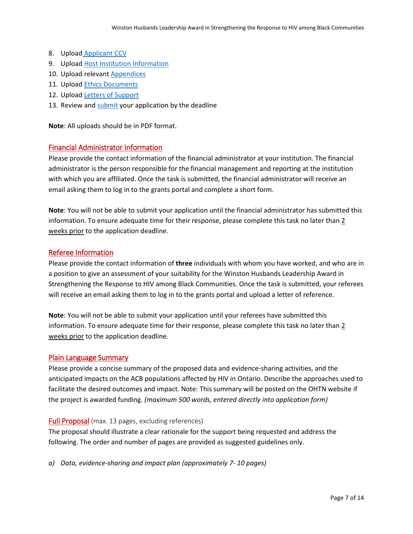- 8. Upload [Applicant](#page-8-0) CCV
- 9. Uploa[d Host Institution Information](#page-8-1)
- 10. Upload relevant [Appendices](#page-8-2)
- 11. Uploa[d Ethics Documents](#page-9-0)
- 12. Uploa[d Letters of Support](#page-9-1)
- 13. Review and [submit](#page-9-2) your application by the deadline

**Note**: All uploads should be in PDF format.

### <span id="page-6-0"></span>Financial Administrator Information

Please provide the contact information of the financial administrator at your institution. The financial administrator is the person responsible for the financial management and reporting at the institution with which you are affiliated. Once the task is submitted, the financial administrator will receive an email asking them to log in to the grants portal and complete a short form.

**Note**: You will not be able to submit your application until the financial administrator has submitted this information. To ensure adequate time for their response, please complete this task no later than 2 weeks prior to the application deadline.

### <span id="page-6-2"></span><span id="page-6-1"></span>Referee Information

Please provide the contact information of **three** individuals with whom you have worked, and who are in a position to give an assessment of your suitability for the Winston Husbands Leadership Award in Strengthening the Response to HIV among Black Communities. Once the task is submitted, your referees will receive an email asking them to log in to the grants portal and upload a letter of reference.

**Note**: You will not be able to submit your application until your referees have submitted this information. To ensure adequate time for their response, please complete this task no later than  $2$ weeks prior to the application deadline.

#### <span id="page-6-4"></span>Plain Language Summary

Please provide a concise summary of the proposed data and evidence-sharing activities, and the anticipated impacts on the ACB populations affected by HIV in Ontario. Describe the approaches used to facilitate the desired outcomes and impact. Note: This summary will be posted on the OHTN website if the project is awarded funding. *(maximum 500 words, entered directly into application form)*

#### <span id="page-6-3"></span>Full Proposal (max. 13 pages, excluding references)

The proposal should illustrate a clear rationale for the support being requested and address the following. The order and number of pages are provided as suggested guidelines only.

*a) Data, evidence-sharing and impact plan (approximately 7- 10 pages)*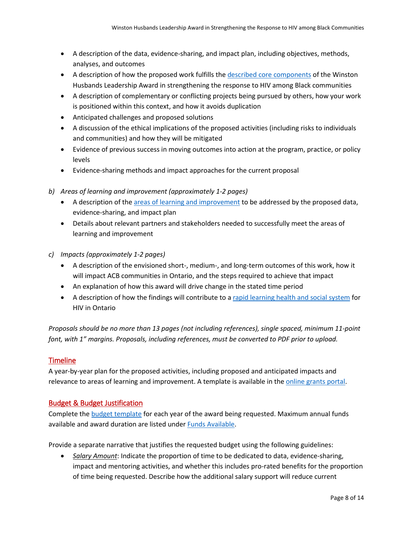- A description of the data, evidence-sharing, and impact plan, including objectives, methods, analyses, and outcomes
- A description of how the proposed work fulfills the [described core components](#page-3-0) of the Winston Husbands Leadership Award in strengthening the response to HIV among Black communities
- A description of complementary or conflicting projects being pursued by others, how your work is positioned within this context, and how it avoids duplication
- Anticipated challenges and proposed solutions
- A discussion of the ethical implications of the proposed activities (including risks to individuals and communities) and how they will be mitigated
- Evidence of previous success in moving outcomes into action at the program, practice, or policy levels
- Evidence-sharing methods and impact approaches for the current proposal
- *b) Areas of learning and improvement (approximately 1-2 pages)*
	- A description of th[e areas of learning and improvement](#page-3-1) to be addressed by the proposed data, evidence-sharing, and impact plan
	- Details about relevant partners and stakeholders needed to successfully meet the areas of learning and improvement
- *c) Impacts (approximately 1-2 pages)*
	- A description of the envisioned short-, medium-, and long-term outcomes of this work, how it will impact ACB communities in Ontario, and the steps required to achieve that impact
	- An explanation of how this award will drive change in the stated time period
	- A description of how the findings will contribute to a [rapid learning health and social system](http://www.ohtn.on.ca/about/rapid-learning/) for HIV in Ontario

*Proposals should be no more than 13 pages (not including references), single spaced, minimum 11-point font, with 1" margins. Proposals, including references, must be converted to PDF prior to upload.*

# <span id="page-7-0"></span>**Timeline**

A year-by-year plan for the proposed activities, including proposed and anticipated impacts and relevance to areas of learning and improvement. A template is available in the [online grants portal.](https://apply-ohtn-on.smapply.io/)

# <span id="page-7-1"></span>Budget & Budget Justification

Complete the [budget template](https://apply-ohtn-on.smapply.io/protected/resource/eyJoZnJlIjogOTkyMzg1MzAsICJ2cSI6IDE3MDc2NX0/) for each year of the award being requested. Maximum annual funds available and award duration are listed under [Funds Available.](#page-4-0)

Provide a separate narrative that justifies the requested budget using the following guidelines:

• *Salary Amount*: Indicate the proportion of time to be dedicated to data, evidence-sharing, impact and mentoring activities, and whether this includes pro-rated benefits for the proportion of time being requested. Describe how the additional salary support will reduce current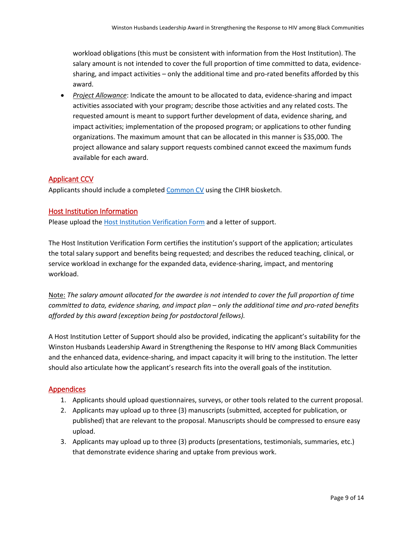workload obligations (this must be consistent with information from the Host Institution). The salary amount is not intended to cover the full proportion of time committed to data, evidencesharing, and impact activities – only the additional time and pro-rated benefits afforded by this award.

• *Project Allowance*: Indicate the amount to be allocated to data, evidence-sharing and impact activities associated with your program; describe those activities and any related costs. The requested amount is meant to support further development of data, evidence sharing, and impact activities; implementation of the proposed program; or applications to other funding organizations. The maximum amount that can be allocated in this manner is \$35,000. The project allowance and salary support requests combined cannot exceed the maximum funds available for each award.

# <span id="page-8-0"></span>Applicant CCV

Applicants should include a completed [Common CV](https://ccv-cvc.ca/loginresearcher-eng.frm) using the CIHR biosketch.

### <span id="page-8-1"></span>**Host Institution Information**

Please upload the **Host Institution Verification Form** and a letter of support.

The Host Institution Verification Form certifies the institution's support of the application; articulates the total salary support and benefits being requested; and describes the reduced teaching, clinical, or service workload in exchange for the expanded data, evidence-sharing, impact, and mentoring workload.

Note: *The salary amount allocated for the awardee is not intended to cover the full proportion of time committed to data, evidence sharing, and impact plan – only the additional time and pro-rated benefits afforded by this award (exception being for postdoctoral fellows).*

A Host Institution Letter of Support should also be provided, indicating the applicant's suitability for the Winston Husbands Leadership Award in Strengthening the Response to HIV among Black Communities and the enhanced data, evidence-sharing, and impact capacity it will bring to the institution. The letter should also articulate how the applicant's research fits into the overall goals of the institution.

# <span id="page-8-2"></span>**Appendices**

- 1. Applicants should upload questionnaires, surveys, or other tools related to the current proposal.
- 2. Applicants may upload up to three (3) manuscripts (submitted, accepted for publication, or published) that are relevant to the proposal. Manuscripts should be compressed to ensure easy upload.
- 3. Applicants may upload up to three (3) products (presentations, testimonials, summaries, etc.) that demonstrate evidence sharing and uptake from previous work.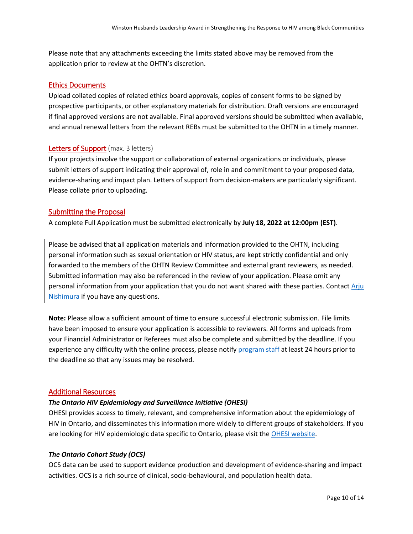Please note that any attachments exceeding the limits stated above may be removed from the application prior to review at the OHTN's discretion.

#### <span id="page-9-0"></span>Ethics Documents

Upload collated copies of related ethics board approvals, copies of consent forms to be signed by prospective participants, or other explanatory materials for distribution. Draft versions are encouraged if final approved versions are not available. Final approved versions should be submitted when available, and annual renewal letters from the relevant REBs must be submitted to the OHTN in a timely manner.

#### <span id="page-9-1"></span>Letters of Support (max. 3 letters)

If your projects involve the support or collaboration of external organizations or individuals, please submit letters of support indicating their approval of, role in and commitment to your proposed data, evidence-sharing and impact plan. Letters of support from decision-makers are particularly significant. Please collate prior to uploading.

#### <span id="page-9-2"></span>Submitting the Proposal

A complete Full Application must be submitted electronically by **July 18, 2022 at 12:00pm (EST)**.

Please be advised that all application materials and information provided to the OHTN, including personal information such as sexual orientation or HIV status, are kept strictly confidential and only forwarded to the members of the OHTN Review Committee and external grant reviewers, as needed. Submitted information may also be referenced in the review of your application. Please omit any personal information from your application that you do not want shared with these parties. Contact [Arju](mailto:anishimura@ohtn.on.ca?subject=Disclosure%20Statement%20Question)  [Nishimura](mailto:anishimura@ohtn.on.ca?subject=Disclosure%20Statement%20Question) if you have any questions.

**Note:** Please allow a sufficient amount of time to ensure successful electronic submission. File limits have been imposed to ensure your application is accessible to reviewers. All forms and uploads from your Financial Administrator or Referees must also be complete and submitted by the deadline. If you experience any difficulty with the online process, please notify [program staff](mailto:funding@ohtn.on.ca?subject=Technical%20Issue%20with%20OHTN%20Online%20Application%20Portal) at least 24 hours prior to the deadline so that any issues may be resolved.

#### <span id="page-9-3"></span>Additional Resources

#### *The Ontario HIV Epidemiology and Surveillance Initiative (OHESI)*

OHESI provides access to timely, relevant, and comprehensive information about the epidemiology of HIV in Ontario, and disseminates this information more widely to different groups of stakeholders. If you are looking for HIV epidemiologic data specific to Ontario, please visit the [OHESI website.](http://www.ohesi.ca/)

#### *The Ontario Cohort Study (OCS)*

OCS data can be used to support evidence production and development of evidence-sharing and impact activities. OCS is a rich source of clinical, socio-behavioural, and population health data.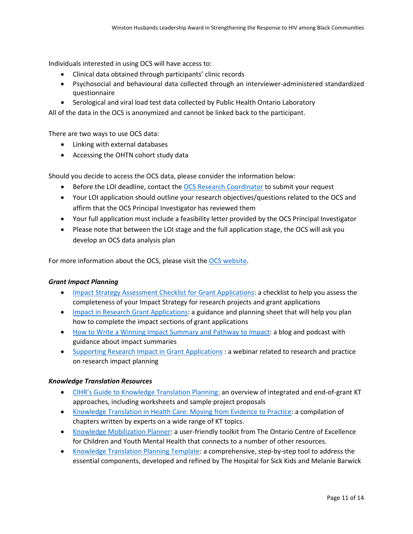Individuals interested in using OCS will have access to:

- Clinical data obtained through participants' clinic records
- Psychosocial and behavioural data collected through an interviewer-administered standardized questionnaire
- Serological and viral load test data collected by Public Health Ontario Laboratory

All of the data in the OCS is anonymized and cannot be linked back to the participant.

There are two ways to use OCS data:

- Linking with external databases
- Accessing the OHTN cohort study data

Should you decide to access the OCS data, please consider the information below:

- Before the LOI deadline, contact the [OCS Research Coordinator](mailto:ocsinfo@ohtn.on.ca) to submit your request
- Your LOI application should outline your research objectives/questions related to the OCS and affirm that the OCS Principal Investigator has reviewed them
- Your full application must include a feasibility letter provided by the OCS Principal Investigator
- Please note that between the LOI stage and the full application stage, the OCS will ask you develop an OCS data analysis plan

For more information about the OCS, please visit the [OCS website.](http://ohtncohortstudy.ca/research/#accessing)

#### *Grant Impact Planning*

- [Impact Strategy Assessment Checklist for Grant Applications:](http://researchimpact.ca/wp-content/uploads/2018/08/Impact-Strategy-Assessment-Checklist.pdf) a checklist to help you assess the completeness of your Impact Strategy for research projects and grant applications
- [Impact in Research Grant Applications:](https://www.york.ac.uk/staff/research/research-impact/impact-in-grants/) a guidance and planning sheet that will help you plan how to complete the impact sections of grant applications
- [How to Write a Winning Impact Summary and Pathway to Impact:](https://www.fasttrackimpact.com/post/2017/06/01/how-to-write-an-impact-summary-and-pathway-to-impact) a blog and podcast with guidance about impact summaries
- [Supporting Research Impact in Grant Applications](http://researchimpact.ca/supporting-research-impact-in-grant-applications/) : a webinar related to research and practice on research impact planning

#### *Knowledge Translation Resources*

- [CIHR's Guide to Knowledge Translation Planning:](http://www.cihr-irsc.gc.ca/e/45321.html) an overview of integrated and end-of-grant KT approaches, including worksheets and sample project proposals
- [Knowledge Translation in Health Care: Moving from Evidence to Practice:](http://www.cihr-irsc.gc.ca/e/40618.html) a compilation of chapters written by experts on a wide range of KT topics.
- [Knowledge Mobilization Planner:](http://www.kmbtoolkit.ca/planning) a user-friendly toolkit from The Ontario Centre of Excellence for Children and Youth Mental Health that connects to a number of other resources.
- [Knowledge Translation Planning Template:](http://www.sickkids.ca/Learning/AbouttheInstitute/Programs/Knowledge-Translation/Resources/Resources.html) a comprehensive, step-by-step tool to address the essential components, developed and refined by The Hospital for Sick Kids and Melanie Barwick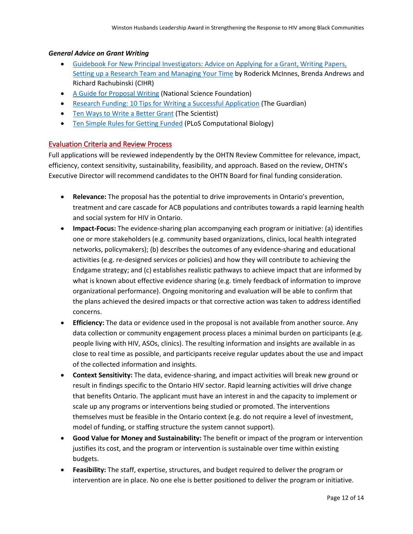#### *General Advice on Grant Writing*

- [Guidebook For New Principal Investigators: Advice on Applying for a Grant, Writing Papers,](http://www.cihr-irsc.gc.ca/e/27491.html#1.5)  [Setting up a Research Team and Managing Your Time](http://www.cihr-irsc.gc.ca/e/27491.html#1.5) by Roderick McInnes, Brenda Andrews and Richard Rachubinski (CIHR)
- [A Guide for Proposal Writing](http://www.nsf.gov/pubs/1998/nsf9891/nsf9891.htm) (National Science Foundation)
- [Research Funding: 10 Tips for Writing a Successful Application](http://www.theguardian.com/higher-education-network/blog/2013/apr/19/tips-successful-research-grant-funding?CMP=twt_gu) (The Guardian)
- [Ten Ways to Write a Better Grant](http://www.the-scientist.com/?articles.view/articleNo/24622/title/Ten-Ways-to-Write-a-Better-Grant/) (The Scientist)
- [Ten Simple Rules for Getting Funded](http://journals.plos.org/ploscompbiol/article?id=10.1371/journal.pcbi.0020012) (PLoS Computational Biology)

#### <span id="page-11-0"></span>Evaluation Criteria and Review Process

Full applications will be reviewed independently by the OHTN Review Committee for relevance, impact, efficiency, context sensitivity, sustainability, feasibility, and approach. Based on the review, OHTN's Executive Director will recommend candidates to the OHTN Board for final funding consideration.

- **Relevance:** The proposal has the potential to drive improvements in Ontario's prevention, treatment and care cascade for ACB populations and contributes towards a rapid learning health and social system for HIV in Ontario.
- **Impact-Focus:** The evidence-sharing plan accompanying each program or initiative: (a) identifies one or more stakeholders (e.g. community based organizations, clinics, local health integrated networks, policymakers); (b) describes the outcomes of any evidence-sharing and educational activities (e.g. re-designed services or policies) and how they will contribute to achieving the Endgame strategy; and (c) establishes realistic pathways to achieve impact that are informed by what is known about effective evidence sharing (e.g. timely feedback of information to improve organizational performance). Ongoing monitoring and evaluation will be able to confirm that the plans achieved the desired impacts or that corrective action was taken to address identified concerns.
- **Efficiency:** The data or evidence used in the proposal is not available from another source. Any data collection or community engagement process places a minimal burden on participants (e.g. people living with HIV, ASOs, clinics). The resulting information and insights are available in as close to real time as possible, and participants receive regular updates about the use and impact of the collected information and insights.
- **Context Sensitivity:** The data, evidence-sharing, and impact activities will break new ground or result in findings specific to the Ontario HIV sector. Rapid learning activities will drive change that benefits Ontario. The applicant must have an interest in and the capacity to implement or scale up any programs or interventions being studied or promoted. The interventions themselves must be feasible in the Ontario context (e.g. do not require a level of investment, model of funding, or staffing structure the system cannot support).
- **Good Value for Money and Sustainability:** The benefit or impact of the program or intervention justifies its cost, and the program or intervention is sustainable over time within existing budgets.
- **Feasibility:** The staff, expertise, structures, and budget required to deliver the program or intervention are in place. No one else is better positioned to deliver the program or initiative.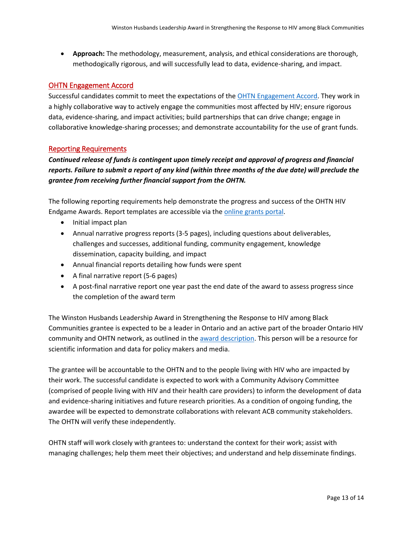• **Approach:** The methodology, measurement, analysis, and ethical considerations are thorough, methodogically rigorous, and will successfully lead to data, evidence-sharing, and impact.

### <span id="page-12-0"></span>OHTN Engagement Accord

Successful candidates commit to meet the expectations of the [OHTN Engagement Accord.](http://www.ohtn.on.ca/wp-content/uploads/research-funding/OHTN-Engagement-Accord.pdf) They work in a highly collaborative way to actively engage the communities most affected by HIV; ensure rigorous data, evidence-sharing, and impact activities; build partnerships that can drive change; engage in collaborative knowledge-sharing processes; and demonstrate accountability for the use of grant funds.

#### <span id="page-12-1"></span>Reporting Requirements

*Continued release of funds is contingent upon timely receipt and approval of progress and financial reports. Failure to submit a report of any kind (within three months of the due date) will preclude the grantee from receiving further financial support from the OHTN.* 

The following reporting requirements help demonstrate the progress and success of the OHTN HIV Endgame Awards. Report templates are accessible via th[e online grants portal.](https://apply-ohtn-on.smapply.io/)

- Initial impact plan
- Annual narrative progress reports (3-5 pages), including questions about deliverables, challenges and successes, additional funding, community engagement, knowledge dissemination, capacity building, and impact
- Annual financial reports detailing how funds were spent
- A final narrative report (5-6 pages)
- A post-final narrative report one year past the end date of the award to assess progress since the completion of the award term

The Winston Husbands Leadership Award in Strengthening the Response to HIV among Black Communities grantee is expected to be a leader in Ontario and an active part of the broader Ontario HIV community and OHTN network, as outlined in th[e award description.](#page-3-0) This person will be a resource for scientific information and data for policy makers and media.

The grantee will be accountable to the OHTN and to the people living with HIV who are impacted by their work. The successful candidate is expected to work with a Community Advisory Committee (comprised of people living with HIV and their health care providers) to inform the development of data and evidence-sharing initiatives and future research priorities. As a condition of ongoing funding, the awardee will be expected to demonstrate collaborations with relevant ACB community stakeholders. The OHTN will verify these independently.

OHTN staff will work closely with grantees to: understand the context for their work; assist with managing challenges; help them meet their objectives; and understand and help disseminate findings.